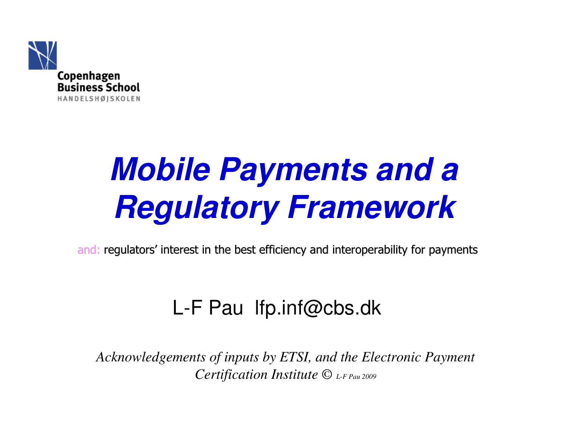

# **Mobile Payments and a Regulatory Framework**

and: regulators' interest in the best efficiency and interoperability for payments

#### L-F Pau lfp.inf@cbs.dk

*Acknowledgements of inputs by ETSI, and the Electronic Payment Certification Institute © L-F Pau 2009*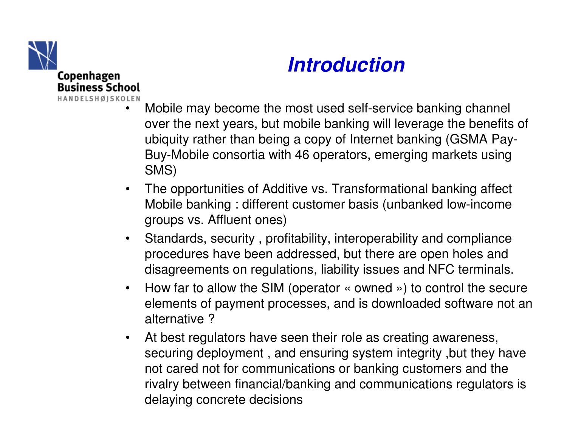

•

#### **Introduction**

- Mobile may become the most used self-service banking channel over the next years, but mobile banking will leverage the benefits of ubiquity rather than being a copy of Internet banking (GSMA Pay-Buy-Mobile consortia with 46 operators, emerging markets using SMS)
- • The opportunities of Additive vs. Transformational banking affect Mobile banking : different customer basis (unbanked low-income groups vs. Affluent ones)
- $\bullet$  Standards, security , profitability, interoperability and compliance procedures have been addressed, but there are open holes and disagreements on regulations, liability issues and NFC terminals.
- $\bullet$  How far to allow the SIM (operator « owned ») to control the secure elements of payment processes, and is downloaded software not analternative ?
- At best regulators have seen their role as creating awareness,  $\bullet$ securing deployment , and ensuring system integrity ,but they have not cared not for communications or banking customers and the rivalry between financial/banking and communications regulators is delaying concrete decisions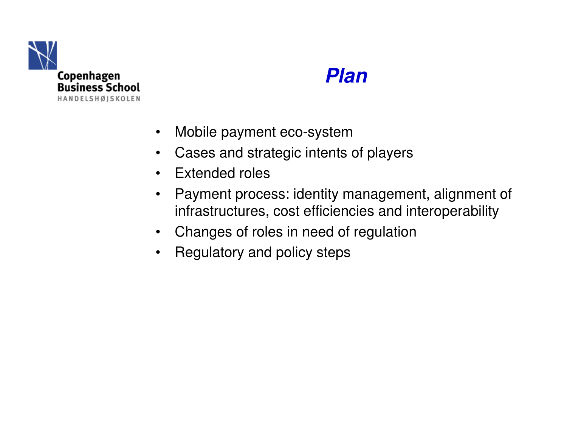

#### **Plan**

- $\bullet$ Mobile payment eco-system
- Cases and strategic intents of players $\bullet$
- $\bullet$ Extended roles
- • Payment process: identity management, alignment of infrastructures, cost efficiencies and interoperability
- Changes of roles in need of regulation
- $\bullet$ Regulatory and policy steps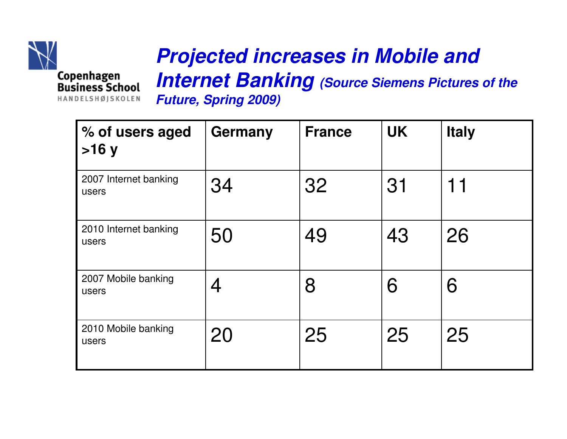

#### **Projected increases in Mobile and**

**Internet Banking (Source Siemens Pictures of the Future, Spring 2009)** 

| % of users aged<br>>16y        | Germany | <b>France</b> | <b>UK</b> | <b>Italy</b> |
|--------------------------------|---------|---------------|-----------|--------------|
| 2007 Internet banking<br>users | 34      | 32            | 31        | 11           |
| 2010 Internet banking<br>users | 50      | 49            | 43        | 26           |
| 2007 Mobile banking<br>users   | 4       | 8             | 6         | 6            |
| 2010 Mobile banking<br>users   | 20      | 25            | 25        | 25           |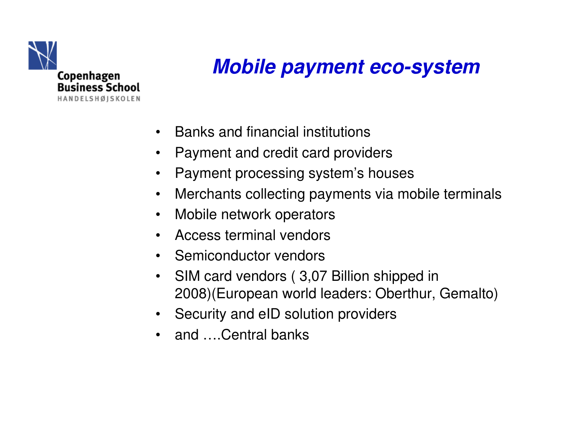

#### **Mobile payment eco-system**

- $\bullet$ Banks and financial institutions
- •Payment and credit card providers
- $\bullet$ Payment processing system's houses
- $\bullet$ Merchants collecting payments via mobile terminals
- Mobile network operators
- •Access terminal vendors
- $\bullet$ Semiconductor vendors
- • SIM card vendors ( 3,07 Billion shipped in 2008)(European world leaders: Oberthur, Gemalto)
- Security and eID solution providers
- and ….Central banks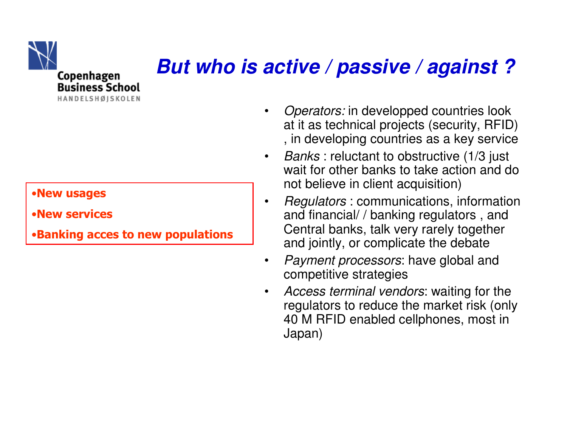

#### **But who is active / passive / against ?**

#### •**New usages**

•**New services**

•**Banking acces to new populations**

- •**Operators: in developped countries look** at it as technical projects (security, RFID) , in developing countries as a key service
- $\bullet$  Banks : reluctant to obstructive (1/3 just wait for other banks to take action and do not believe in client acquisition)
- •• Regulators : communications, information and financial/ / banking regulators , and Central banks, talk very rarely togetherand jointly, or complicate the debate
- Payment processors: have global and  $\bullet$ competitive strategies
- Access terminal vendors: waiting for the  $\bullet$ regulators to reduce the market risk (only40 M RFID enabled cellphones, most in Japan)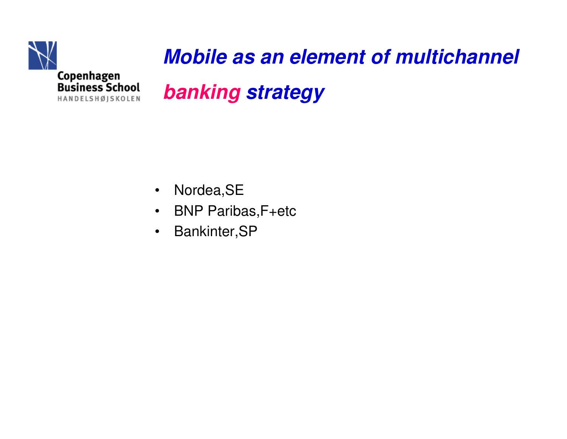

# **Mobile as an element of multichannel banking strategy**

- $\bullet$ Nordea,SE
- BNP Paribas,F+etc $\bullet$
- $\bullet$ Bankinter,SP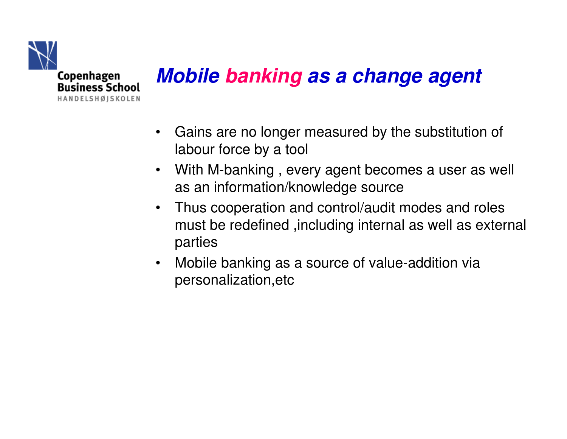

# **Mobile banking as a change agent**

- • Gains are no longer measured by the substitution of labour force by a tool
- $\bullet$  With M-banking , every agent becomes a user as well as an information/knowledge source
- $\bullet$  Thus cooperation and control/audit modes and roles must be redefined ,including internal as well as external parties
- $\bullet$  Mobile banking as a source of value-addition via personalization,etc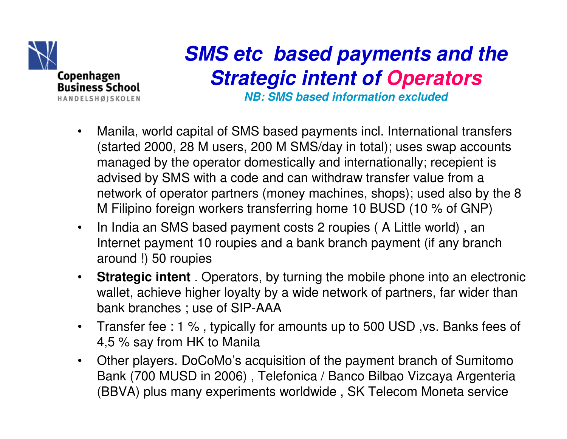

## **SMS etc based payments and the Strategic intent of Operators**

**NB: SMS based information excluded**

- $\bullet$  Manila, world capital of SMS based payments incl. International transfers (started 2000, 28 M users, 200 M SMS/day in total); uses swap accounts managed by the operator domestically and internationally; recepient is advised by SMS with a code and can withdraw transfer value from a network of operator partners (money machines, shops); used also by the 8 M Filipino foreign workers transferring home 10 BUSD (10 % of GNP)
- $\bullet$  In India an SMS based payment costs 2 roupies ( A Little world) , an Internet payment 10 roupies and a bank branch payment (if any branch around !) 50 roupies
- $\bullet$  **Strategic intent** . Operators, by turning the mobile phone into an electronic wallet, achieve higher loyalty by a wide network of partners, far wider than bank branches ; use of SIP-AAA
- Transfer fee : 1 % , typically for amounts up to 500 USD ,vs. Banks fees of  $\bullet$ 4,5 % say from HK to Manila
- Other players. DoCoMo's acquisition of the payment branch of Sumitomo  $\bullet$ Bank (700 MUSD in 2006) , Telefonica / Banco Bilbao Vizcaya Argenteria(BBVA) plus many experiments worldwide , SK Telecom Moneta service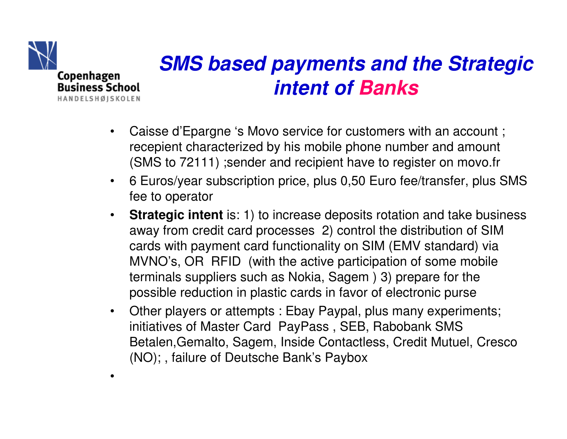

•

#### **SMS based payments and the Strategicintent of Banks**

- • Caisse d'Epargne 's Movo service for customers with an account ; recepient characterized by his mobile phone number and amount (SMS to 72111) ;sender and recipient have to register on movo.fr
- $\bullet$  6 Euros/year subscription price, plus 0,50 Euro fee/transfer, plus SMS fee to operator
- $\bullet$ **Strategic intent** is: 1) to increase deposits rotation and take business away from credit card processes 2) control the distribution of SIM cards with payment card functionality on SIM (EMV standard) via MVNO's, OR RFID (with the active participation of some mobile terminals suppliers such as Nokia, Sagem ) 3) prepare for the possible reduction in plastic cards in favor of electronic purse
- $\bullet$  Other players or attempts : Ebay Paypal, plus many experiments; initiatives of Master Card PayPass , SEB, Rabobank SMS Betalen,Gemalto, Sagem, Inside Contactless, Credit Mutuel, Cresco (NO); , failure of Deutsche Bank's Paybox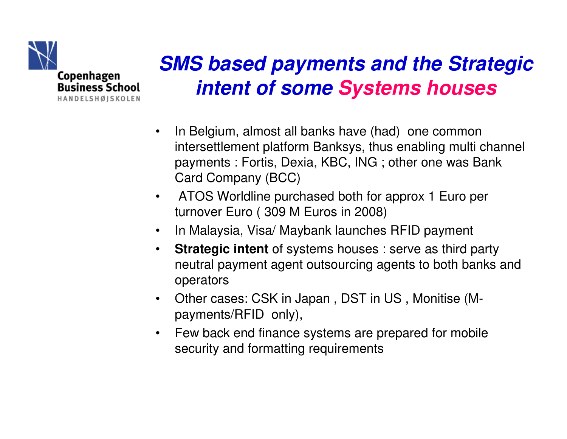

# **SMS based payments and the Strategicintent of some Systems houses**

- • In Belgium, almost all banks have (had) one common intersettlement platform Banksys, thus enabling multi channel payments : Fortis, Dexia, KBC, ING ; other one was Bank Card Company (BCC)
- $\bullet$  ATOS Worldline purchased both for approx 1 Euro per turnover Euro ( 309 M Euros in 2008)
- $\bullet$ In Malaysia, Visa/ Maybank launches RFID payment
- $\bullet$  **Strategic intent** of systems houses : serve as third party neutral payment agent outsourcing agents to both banks and operators
- Other cases: CSK in Japan , DST in US , Monitise (Mpayments/RFID only),
- $\bullet$  Few back end finance systems are prepared for mobile security and formatting requirements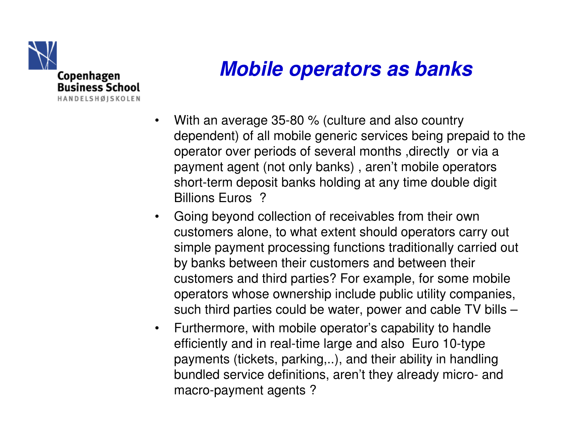

#### **Mobile operators as banks**

- $\bullet$  With an average 35-80 % (culture and also country dependent) of all mobile generic services being prepaid to the operator over periods of several months ,directly or via a payment agent (not only banks) , aren't mobile operators short-term deposit banks holding at any time double digit Billions Euros ?
- $\bullet$  Going beyond collection of receivables from their own customers alone, to what extent should operators carry out simple payment processing functions traditionally carried out by banks between their customers and between their customers and third parties? For example, for some mobile operators whose ownership include public utility companies, such third parties could be water, power and cable TV bills –
- $\bullet$  Furthermore, with mobile operator's capability to handle efficiently and in real-time large and also Euro 10-type payments (tickets, parking,..), and their ability in handling bundled service definitions, aren't they already micro- and macro-payment agents ?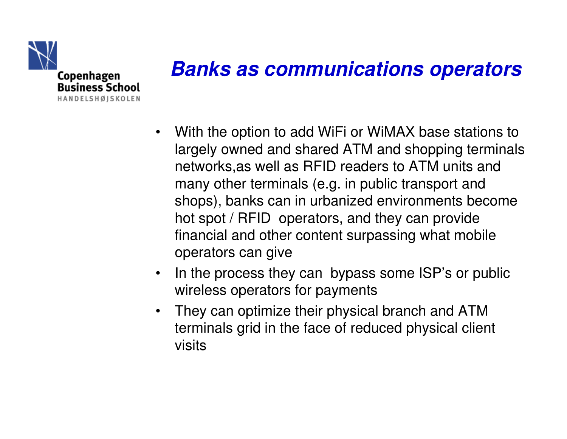

#### **Banks as communications operators**

- $\bullet$  With the option to add WiFi or WiMAX base stations to largely owned and shared ATM and shopping terminalsnetworks,as well as RFID readers to ATM units and many other terminals (e.g. in public transport and shops), banks can in urbanized environments become hot spot / RFID operators, and they can provide financial and other content surpassing what mobile operators can give
- $\bullet$  In the process they can bypass some ISP's or public wireless operators for payments
- • They can optimize their physical branch and ATM terminals grid in the face of reduced physical client visits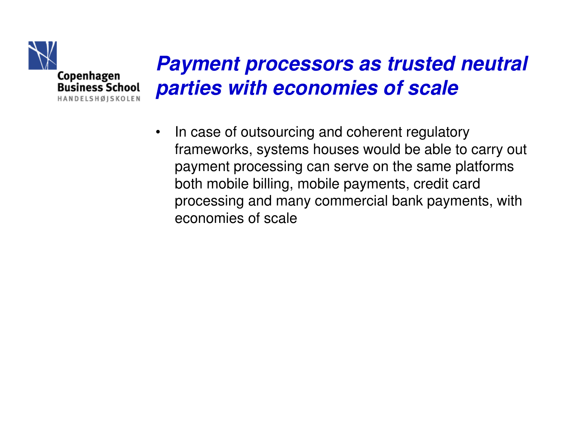

#### **Payment processors as trusted neutral parties with economies of scale**

• In case of outsourcing and coherent regulatory frameworks, systems houses would be able to carry out payment processing can serve on the same platformsboth mobile billing, mobile payments, credit card processing and many commercial bank payments, witheconomies of scale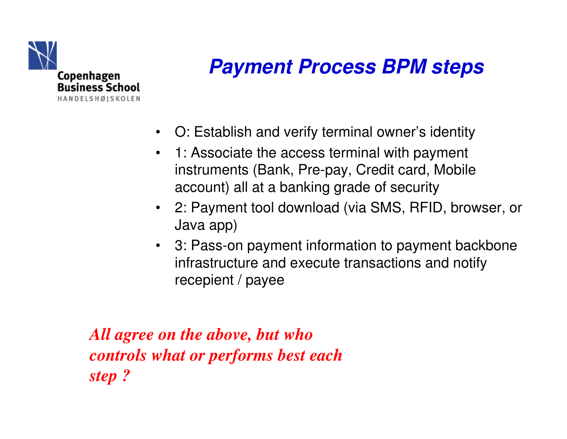

### **Payment Process BPM steps**

- O: Establish and verify terminal owner's identity
- 1: Associate the access terminal with payment instruments (Bank, Pre-pay, Credit card, Mobile account) all at a banking grade of security
- 2: Payment tool download (via SMS, RFID, browser, or Java app)
- 3: Pass-on payment information to payment backboneinfrastructure and execute transactions and notifyrecepient / payee

*All agree on the above, but who controls what or performs best each step ?*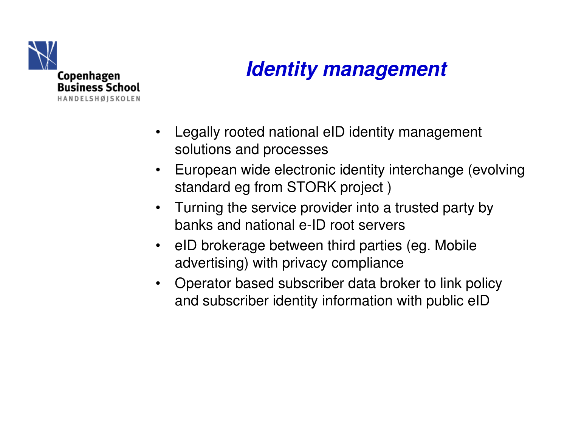

### **Identity management**

- • Legally rooted national eID identity management solutions and processes
- $\bullet$  European wide electronic identity interchange (evolvingstandard eg from STORK project )
- Turning the service provider into a trusted party by banks and national e-ID root servers
- eID brokerage between third parties (eg. Mobile advertising) with privacy compliance
- $\bullet$  Operator based subscriber data broker to link policyand subscriber identity information with public eID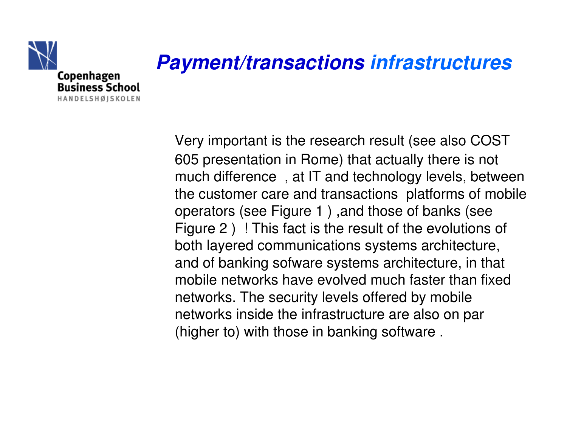

# **Payment/transactions infrastructures**

Very important is the research result (see also COST 605 presentation in Rome) that actually there is not much difference , at IT and technology levels, between the customer care and transactions platforms of mobile operators (see Figure 1 ) ,and those of banks (see Figure 2 ) ! This fact is the result of the evolutions of both layered communications systems architecture, and of banking sofware systems architecture, in that mobile networks have evolved much faster than fixednetworks. The security levels offered by mobile networks inside the infrastructure are also on par (higher to) with those in banking software .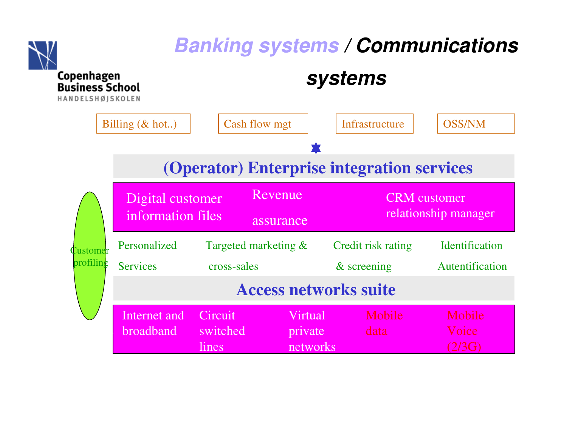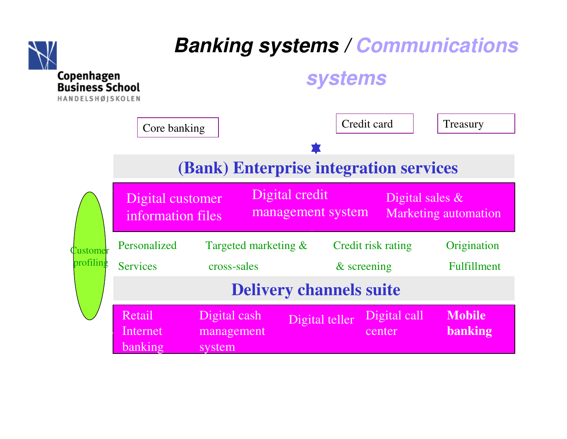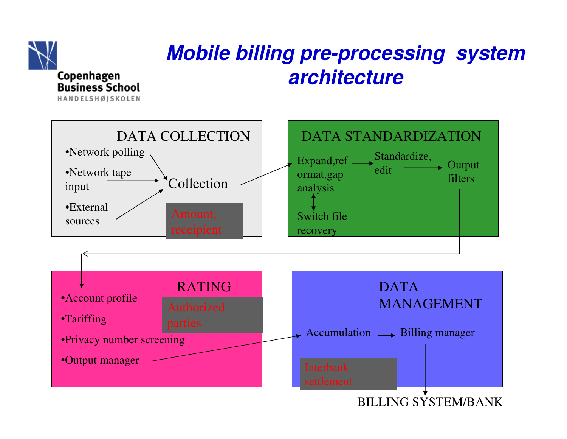

#### **Mobile billing pre-processing system architecture**

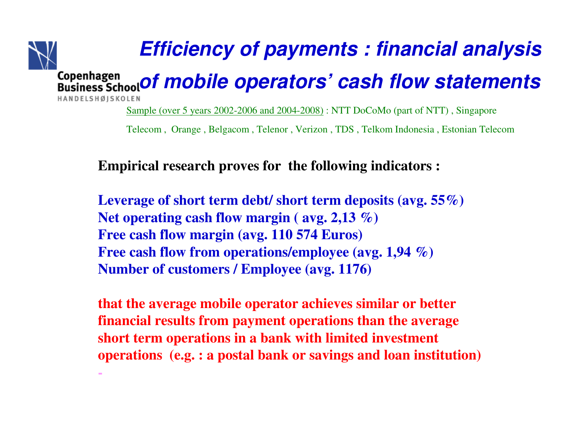

Sample (over 5 years 2002-2006 and 2004-2008) : NTT DoCoMo (part of NTT) , Singapore

Telecom , Orange , Belgacom , Telenor , Verizon , TDS , Telkom Indonesia , Estonian Telecom

#### **Empirical research proves for the following indicators :**

**Leverage of short term debt/ short term deposits (avg. 55%) Net operating cash flow margin ( avg. 2,13 %)Free cash flow margin (avg. 110 574 Euros)Free cash flow from operations/employee (avg. 1,94 %)Number of customers / Employee (avg. 1176)**

**that the average mobile operator achieves similar or better financial results from payment operations than the average short term operations in a bank with limited investment operations (e.g. : a postal bank or savings and loan institution)**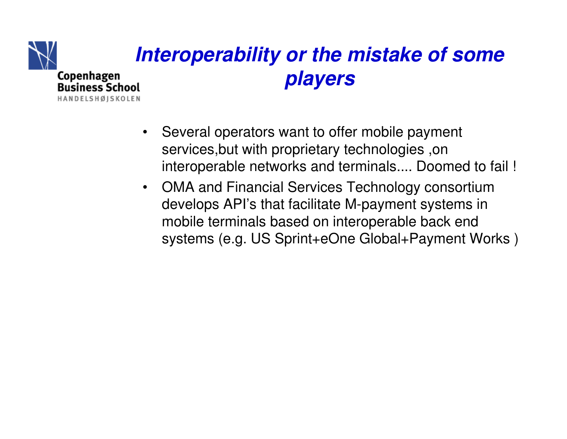

### **Interoperability or the mistake of some players**

- • Several operators want to offer mobile payment services,but with proprietary technologies ,on interoperable networks and terminals.... Doomed to fail !
- OMA and Financial Services Technology consortium develops API's that facilitate M-payment systems in mobile terminals based on interoperable back end systems (e.g. US Sprint+eOne Global+Payment Works )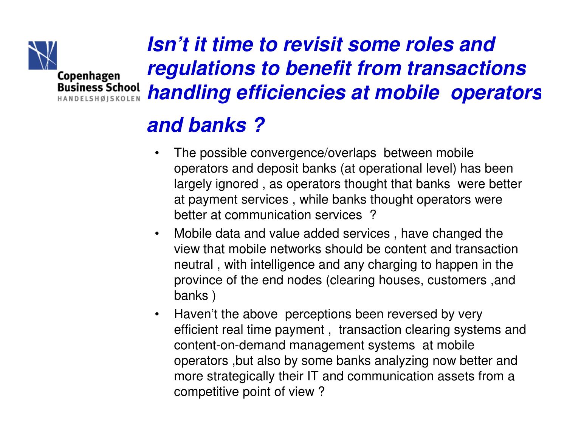

**Isn't it time to revisit some roles and regulations to benefit from transactions handling efficiencies at mobile operators** 

#### **and banks ?**

- $\bullet$  The possible convergence/overlaps between mobile operators and deposit banks (at operational level) has been largely ignored , as operators thought that banks were better at payment services , while banks thought operators were better at communication services ?
- $\bullet$  Mobile data and value added services , have changed the view that mobile networks should be content and transaction neutral , with intelligence and any charging to happen in the province of the end nodes (clearing houses, customers ,andbanks )
- $\bullet$  Haven't the above perceptions been reversed by very efficient real time payment , transaction clearing systems and content-on-demand management systems at mobile operators ,but also by some banks analyzing now better and more strategically their IT and communication assets from a competitive point of view ?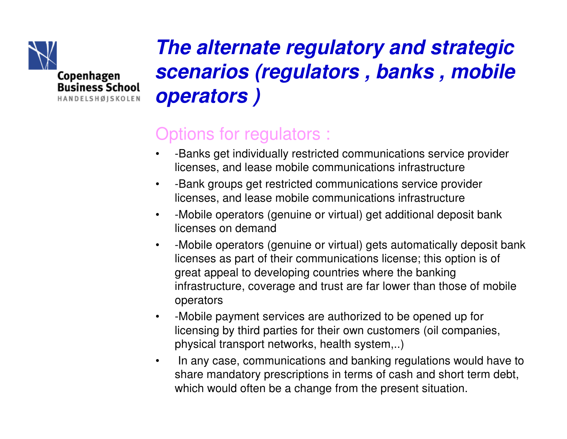

**Business School** HANDELSHØISKOLEN

**The alternate regulatory and strategic scenarios (regulators , banks , mobile operators )**

#### Options for regulators :

- • -Banks get individually restricted communications service provider licenses, and lease mobile communications infrastructure
- • -Bank groups get restricted communications service provider licenses, and lease mobile communications infrastructure
- -Mobile operators (genuine or virtual) get additional deposit bank •licenses on demand
- $\bullet$  -Mobile operators (genuine or virtual) gets automatically deposit bank licenses as part of their communications license; this option is of great appeal to developing countries where the banking infrastructure, coverage and trust are far lower than those of mobile operators
- $\bullet$  -Mobile payment services are authorized to be opened up for licensing by third parties for their own customers (oil companies, physical transport networks, health system,..)
- • In any case, communications and banking regulations would have to share mandatory prescriptions in terms of cash and short term debt, which would often be a change from the present situation.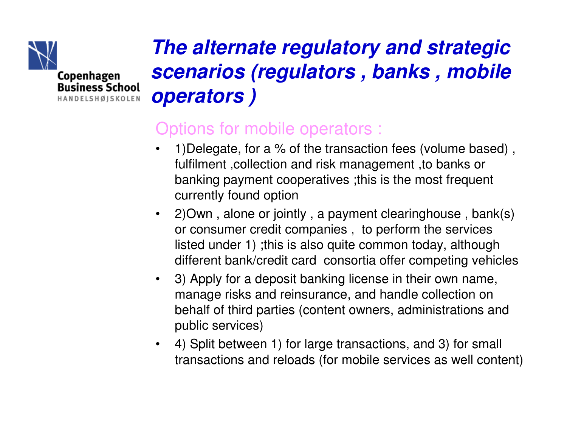



#### Options for mobile operators :

- $\bullet$  1)Delegate, for a % of the transaction fees (volume based) , fulfilment ,collection and risk management ,to banks or banking payment cooperatives ;this is the most frequent currently found option
- $\bullet$  2)Own , alone or jointly , a payment clearinghouse , bank(s) or consumer credit companies , to perform the services listed under 1) ;this is also quite common today, although different bank/credit card consortia offer competing vehicles
- $\bullet$  3) Apply for a deposit banking license in their own name, manage risks and reinsurance, and handle collection on behalf of third parties (content owners, administrations and public services)
- $\bullet$  4) Split between 1) for large transactions, and 3) for small transactions and reloads (for mobile services as well content)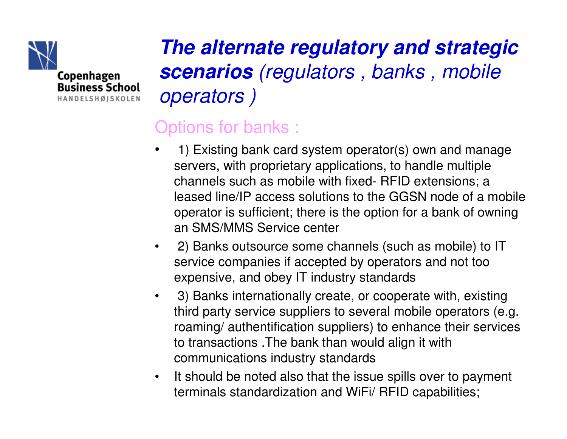

**The alternate regulatory and strategic scenarios** (regulators , banks , mobile operators )

#### Options for banks :

- • 1) Existing bank card system operator(s) own and manage servers, with proprietary applications, to handle multiple channels such as mobile with fixed- RFID extensions; a leased line/IP access solutions to the GGSN node of a mobile operator is sufficient; there is the option for a bank of owningan SMS/MMS Service center
- 2) Banks outsource some channels (such as mobile) to IT service companies if accepted by operators and not too expensive, and obey IT industry standards
- $\bullet$  3) Banks internationally create, or cooperate with, existing third party service suppliers to several mobile operators (e.g. roaming/ authentification suppliers) to enhance their services to transactions .The bank than would align it with communications industry standards
- $\bullet$  It should be noted also that the issue spills over to payment terminals standardization and WiFi/ RFID capabilities;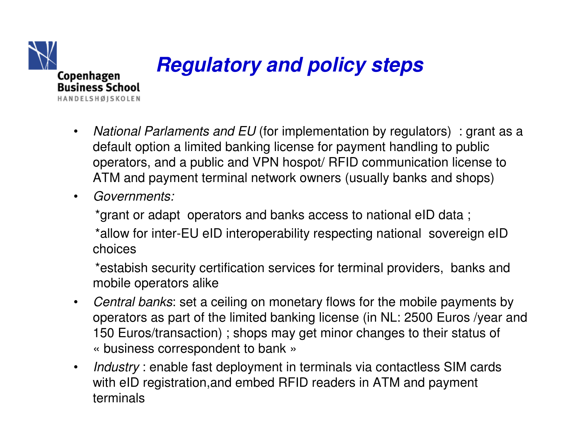

### **Regulatory and policy steps**

- $\bullet$ • National Parlaments and EU (for implementation by regulators) : grant as a  $\frac{1}{2}$ default option a limited banking license for payment handling to public operators, and a public and VPN hospot/ RFID communication license to ATM and payment terminal network owners (usually banks and shops)
- $\bullet$ Governments:

\*grant or adapt operators and banks access to national eID data ;

\*allow for inter-EU eID interoperability respecting national sovereign eID choices

\*estabish security certification services for terminal providers, banks and mobile operators alike

- $\bullet$  Central banks: set a ceiling on monetary flows for the mobile payments by operators as part of the limited banking license (in NL: 2500 Euros /year and 150 Euros/transaction) ; shops may get minor changes to their status of  $\textcolor{red}{\bm{\textsf{\tiny w}}}$  business correspondent to bank  $\textcolor{red}{\bm{\textsf{\tiny w}}}$
- $\bullet$ • Industry : enable fast deployment in terminals via contactless SIM cards with eID registration,and embed RFID readers in ATM and payment terminals